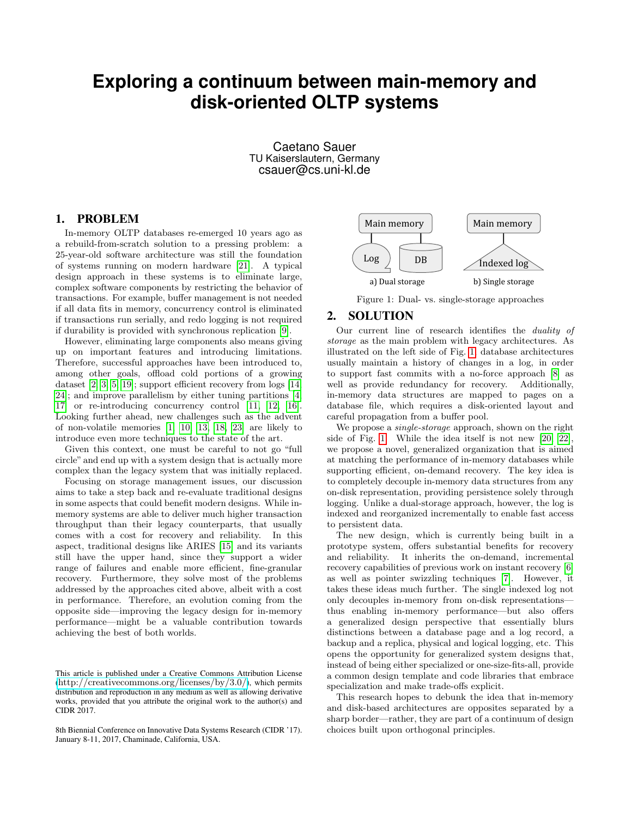## **Exploring a continuum between main-memory and disk-oriented OLTP systems**

Caetano Sauer TU Kaiserslautern, Germany csauer@cs.uni-kl.de

## 1. PROBLEM

In-memory OLTP databases re-emerged 10 years ago as a rebuild-from-scratch solution to a pressing problem: a 25-year-old software architecture was still the foundation of systems running on modern hardware [\[21\]](#page-1-0). A typical design approach in these systems is to eliminate large, complex software components by restricting the behavior of transactions. For example, buffer management is not needed if all data fits in memory, concurrency control is eliminated if transactions run serially, and redo logging is not required if durability is provided with synchronous replication [\[9\]](#page-1-1).

However, eliminating large components also means giving up on important features and introducing limitations. Therefore, successful approaches have been introduced to, among other goals, offload cold portions of a growing dataset [\[2,](#page-1-2) [3,](#page-1-3) [5,](#page-1-4) [19\]](#page-1-5); support efficient recovery from logs [\[14,](#page-1-6) [24\]](#page-1-7); and improve parallelism by either tuning partitions [\[4,](#page-1-8) [17\]](#page-1-9) or re-introducing concurrency control [\[11,](#page-1-10) [12,](#page-1-11) [16\]](#page-1-12). Looking further ahead, new challenges such as the advent of non-volatile memories [\[1,](#page-1-13) [10,](#page-1-14) [13,](#page-1-15) [18,](#page-1-16) [23\]](#page-1-17) are likely to introduce even more techniques to the state of the art.

Given this context, one must be careful to not go "full circle" and end up with a system design that is actually more complex than the legacy system that was initially replaced.

Focusing on storage management issues, our discussion aims to take a step back and re-evaluate traditional designs in some aspects that could benefit modern designs. While inmemory systems are able to deliver much higher transaction throughput than their legacy counterparts, that usually comes with a cost for recovery and reliability. In this aspect, traditional designs like ARIES [\[15\]](#page-1-18) and its variants still have the upper hand, since they support a wider range of failures and enable more efficient, fine-granular recovery. Furthermore, they solve most of the problems addressed by the approaches cited above, albeit with a cost in performance. Therefore, an evolution coming from the opposite side—improving the legacy design for in-memory performance—might be a valuable contribution towards achieving the best of both worlds.

8th Biennial Conference on Innovative Data Systems Research (CIDR '17). January 8-11, 2017, Chaminade, California, USA.

<span id="page-0-0"></span>

Figure 1: Dual- vs. single-storage approaches

## 2. SOLUTION

Our current line of research identifies the duality of storage as the main problem with legacy architectures. As illustrated on the left side of Fig. [1,](#page-0-0) database architectures usually maintain a history of changes in a log, in order to support fast commits with a no-force approach [\[8\]](#page-1-19) as well as provide redundancy for recovery. Additionally, in-memory data structures are mapped to pages on a database file, which requires a disk-oriented layout and careful propagation from a buffer pool.

We propose a *single-storage* approach, shown on the right side of Fig. [1.](#page-0-0) While the idea itself is not new [\[20,](#page-1-20) [22\]](#page-1-21), we propose a novel, generalized organization that is aimed at matching the performance of in-memory databases while supporting efficient, on-demand recovery. The key idea is to completely decouple in-memory data structures from any on-disk representation, providing persistence solely through logging. Unlike a dual-storage approach, however, the log is indexed and reorganized incrementally to enable fast access to persistent data.

The new design, which is currently being built in a prototype system, offers substantial benefits for recovery and reliability. It inherits the on-demand, incremental recovery capabilities of previous work on instant recovery [\[6\]](#page-1-22) as well as pointer swizzling techniques [\[7\]](#page-1-23). However, it takes these ideas much further. The single indexed log not only decouples in-memory from on-disk representations thus enabling in-memory performance—but also offers a generalized design perspective that essentially blurs distinctions between a database page and a log record, a backup and a replica, physical and logical logging, etc. This opens the opportunity for generalized system designs that, instead of being either specialized or one-size-fits-all, provide a common design template and code libraries that embrace specialization and make trade-offs explicit.

This research hopes to debunk the idea that in-memory and disk-based architectures are opposites separated by a sharp border—rather, they are part of a continuum of design choices built upon orthogonal principles.

This article is published under a Creative Commons Attribution License (<http://creativecommons.org/licenses/by/3.0/>), which permits distribution and reproduction in any medium as well as allowing derivative works, provided that you attribute the original work to the author(s) and CIDR 2017.